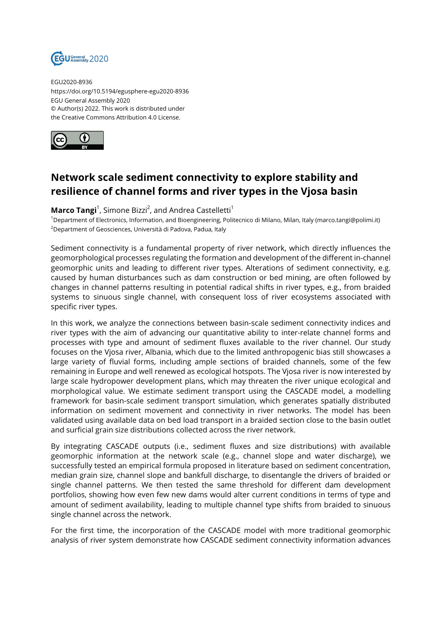

EGU2020-8936 https://doi.org/10.5194/egusphere-egu2020-8936 EGU General Assembly 2020 © Author(s) 2022. This work is distributed under the Creative Commons Attribution 4.0 License.



## **Network scale sediment connectivity to explore stability and resilience of channel forms and river types in the Vjosa basin**

## **Marco Tangi**<sup>1</sup>, Simone Bizzi<sup>2</sup>, and Andrea Castelletti<sup>1</sup>

<sup>1</sup>Department of Electronics, Information, and Bioengineering, Politecnico di Milano, Milan, Italy (marco.tangi@polimi.it) <sup>2</sup>Department of Geosciences, Università di Padova, Padua, Italy

Sediment connectivity is a fundamental property of river network, which directly influences the geomorphological processes regulating the formation and development of the different in-channel geomorphic units and leading to different river types. Alterations of sediment connectivity, e.g. caused by human disturbances such as dam construction or bed mining, are often followed by changes in channel patterns resulting in potential radical shifts in river types, e.g., from braided systems to sinuous single channel, with consequent loss of river ecosystems associated with specific river types.

In this work, we analyze the connections between basin-scale sediment connectivity indices and river types with the aim of advancing our quantitative ability to inter-relate channel forms and processes with type and amount of sediment fluxes available to the river channel. Our study focuses on the Vjosa river, Albania, which due to the limited anthropogenic bias still showcases a large variety of fluvial forms, including ample sections of braided channels, some of the few remaining in Europe and well renewed as ecological hotspots. The Vjosa river is now interested by large scale hydropower development plans, which may threaten the river unique ecological and morphological value. We estimate sediment transport using the CASCADE model, a modelling framework for basin-scale sediment transport simulation, which generates spatially distributed information on sediment movement and connectivity in river networks. The model has been validated using available data on bed load transport in a braided section close to the basin outlet and surficial grain size distributions collected across the river network.

By integrating CASCADE outputs (i.e., sediment fluxes and size distributions) with available geomorphic information at the network scale (e.g., channel slope and water discharge), we successfully tested an empirical formula proposed in literature based on sediment concentration, median grain size, channel slope and bankfull discharge, to disentangle the drivers of braided or single channel patterns. We then tested the same threshold for different dam development portfolios, showing how even few new dams would alter current conditions in terms of type and amount of sediment availability, leading to multiple channel type shifts from braided to sinuous single channel across the network.

For the first time, the incorporation of the CASCADE model with more traditional geomorphic analysis of river system demonstrate how CASCADE sediment connectivity information advances